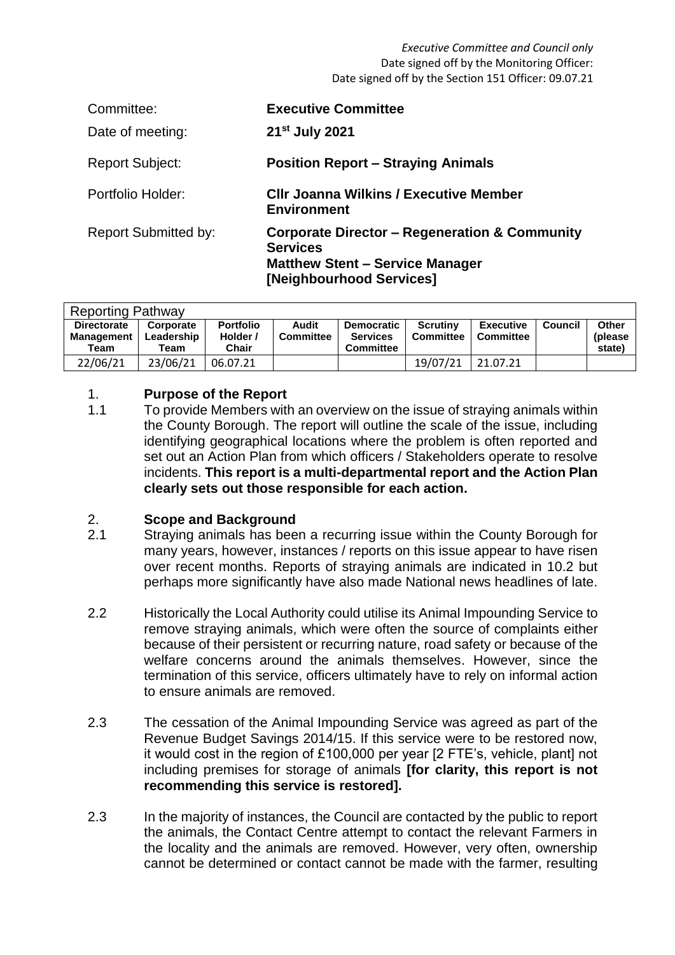*Executive Committee and Council only* Date signed off by the Monitoring Officer: Date signed off by the Section 151 Officer: 09.07.21

| Committee:                  | <b>Executive Committee</b>                                                                                                                        |
|-----------------------------|---------------------------------------------------------------------------------------------------------------------------------------------------|
| Date of meeting:            | 21 <sup>st</sup> July 2021                                                                                                                        |
| <b>Report Subject:</b>      | <b>Position Report – Straying Animals</b>                                                                                                         |
| Portfolio Holder:           | <b>CIIr Joanna Wilkins / Executive Member</b><br>Environment                                                                                      |
| <b>Report Submitted by:</b> | <b>Corporate Director - Regeneration &amp; Community</b><br><b>Services</b><br><b>Matthew Stent - Service Manager</b><br>[Neighbourhood Services] |

| <b>Reporting Pathway</b>                        |                                 |                                       |                           |                                                          |                              |                               |         |                             |  |  |
|-------------------------------------------------|---------------------------------|---------------------------------------|---------------------------|----------------------------------------------------------|------------------------------|-------------------------------|---------|-----------------------------|--|--|
| <b>Directorate</b><br><b>Management</b><br>Team | Corporate<br>Leadership<br>Team | <b>Portfolio</b><br>Holder /<br>Chair | Audit<br><b>Committee</b> | <b>Democratic</b><br><b>Services</b><br><b>Committee</b> | Scrutinv<br><b>Committee</b> | <b>Executive</b><br>Committee | Council | Other<br>(please)<br>state) |  |  |
| 22/06/21                                        | 23/06/21                        | 06.07.21                              |                           |                                                          | 19/07/21                     | 21.07.21                      |         |                             |  |  |

## 1. **Purpose of the Report**

1.1 To provide Members with an overview on the issue of straying animals within the County Borough. The report will outline the scale of the issue, including identifying geographical locations where the problem is often reported and set out an Action Plan from which officers / Stakeholders operate to resolve incidents. **This report is a multi-departmental report and the Action Plan clearly sets out those responsible for each action.**

### 2. **Scope and Background**

- 2.1 Straying animals has been a recurring issue within the County Borough for many years, however, instances / reports on this issue appear to have risen over recent months. Reports of straying animals are indicated in 10.2 but perhaps more significantly have also made National news headlines of late.
- 2.2 Historically the Local Authority could utilise its Animal Impounding Service to remove straying animals, which were often the source of complaints either because of their persistent or recurring nature, road safety or because of the welfare concerns around the animals themselves. However, since the termination of this service, officers ultimately have to rely on informal action to ensure animals are removed.
- 2.3 The cessation of the Animal Impounding Service was agreed as part of the Revenue Budget Savings 2014/15. If this service were to be restored now, it would cost in the region of £100,000 per year [2 FTE's, vehicle, plant] not including premises for storage of animals **[for clarity, this report is not recommending this service is restored].**
- 2.3 In the majority of instances, the Council are contacted by the public to report the animals, the Contact Centre attempt to contact the relevant Farmers in the locality and the animals are removed. However, very often, ownership cannot be determined or contact cannot be made with the farmer, resulting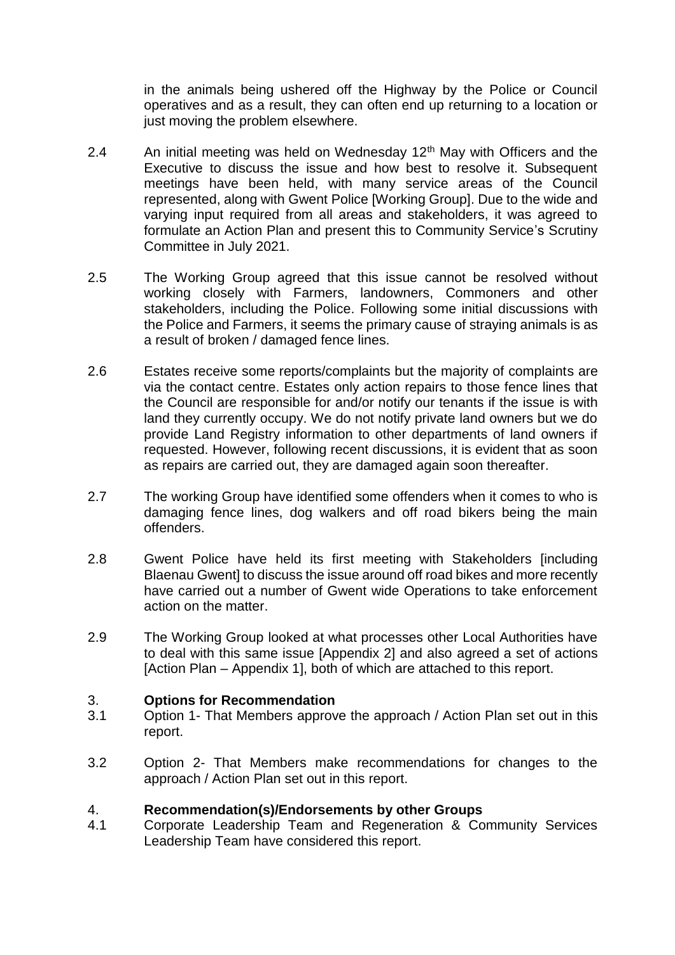in the animals being ushered off the Highway by the Police or Council operatives and as a result, they can often end up returning to a location or just moving the problem elsewhere.

- 2.4 An initial meeting was held on Wednesday 12<sup>th</sup> May with Officers and the Executive to discuss the issue and how best to resolve it. Subsequent meetings have been held, with many service areas of the Council represented, along with Gwent Police [Working Group]. Due to the wide and varying input required from all areas and stakeholders, it was agreed to formulate an Action Plan and present this to Community Service's Scrutiny Committee in July 2021.
- 2.5 The Working Group agreed that this issue cannot be resolved without working closely with Farmers, landowners, Commoners and other stakeholders, including the Police. Following some initial discussions with the Police and Farmers, it seems the primary cause of straying animals is as a result of broken / damaged fence lines.
- 2.6 Estates receive some reports/complaints but the majority of complaints are via the contact centre. Estates only action repairs to those fence lines that the Council are responsible for and/or notify our tenants if the issue is with land they currently occupy. We do not notify private land owners but we do provide Land Registry information to other departments of land owners if requested. However, following recent discussions, it is evident that as soon as repairs are carried out, they are damaged again soon thereafter.
- 2.7 The working Group have identified some offenders when it comes to who is damaging fence lines, dog walkers and off road bikers being the main offenders.
- 2.8 Gwent Police have held its first meeting with Stakeholders [including Blaenau Gwent] to discuss the issue around off road bikes and more recently have carried out a number of Gwent wide Operations to take enforcement action on the matter.
- 2.9 The Working Group looked at what processes other Local Authorities have to deal with this same issue [Appendix 2] and also agreed a set of actions [Action Plan – Appendix 1], both of which are attached to this report.

### 3. **Options for Recommendation**

- 3.1 Option 1- That Members approve the approach / Action Plan set out in this report.
- 3.2 Option 2- That Members make recommendations for changes to the approach / Action Plan set out in this report.

### 4. **Recommendation(s)/Endorsements by other Groups**

4.1 Corporate Leadership Team and Regeneration & Community Services Leadership Team have considered this report.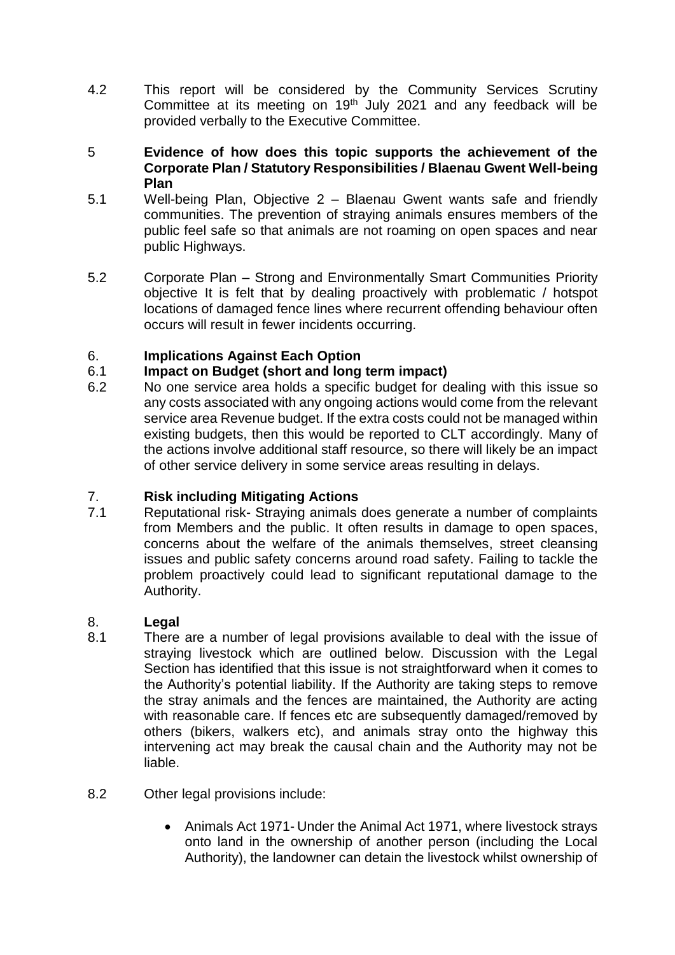4.2 This report will be considered by the Community Services Scrutiny Committee at its meeting on 19<sup>th</sup> July 2021 and any feedback will be provided verbally to the Executive Committee.

### 5 **Evidence of how does this topic supports the achievement of the Corporate Plan / Statutory Responsibilities / Blaenau Gwent Well-being Plan**

- 5.1 Well-being Plan, Objective 2 Blaenau Gwent wants safe and friendly communities. The prevention of straying animals ensures members of the public feel safe so that animals are not roaming on open spaces and near public Highways.
- 5.2 Corporate Plan Strong and Environmentally Smart Communities Priority objective It is felt that by dealing proactively with problematic / hotspot locations of damaged fence lines where recurrent offending behaviour often occurs will result in fewer incidents occurring.

# 6. **Implications Against Each Option**

# 6.1 **Impact on Budget (short and long term impact)**

6.2 No one service area holds a specific budget for dealing with this issue so any costs associated with any ongoing actions would come from the relevant service area Revenue budget. If the extra costs could not be managed within existing budgets, then this would be reported to CLT accordingly. Many of the actions involve additional staff resource, so there will likely be an impact of other service delivery in some service areas resulting in delays.

# 7. **Risk including Mitigating Actions**

7.1 Reputational risk- Straying animals does generate a number of complaints from Members and the public. It often results in damage to open spaces, concerns about the welfare of the animals themselves, street cleansing issues and public safety concerns around road safety. Failing to tackle the problem proactively could lead to significant reputational damage to the Authority.

# 8. **Legal**

- 8.1 There are a number of legal provisions available to deal with the issue of straying livestock which are outlined below. Discussion with the Legal Section has identified that this issue is not straightforward when it comes to the Authority's potential liability. If the Authority are taking steps to remove the stray animals and the fences are maintained, the Authority are acting with reasonable care. If fences etc are subsequently damaged/removed by others (bikers, walkers etc), and animals stray onto the highway this intervening act may break the causal chain and the Authority may not be liable.
- 8.2 Other legal provisions include:
	- Animals Act 1971- Under the Animal Act 1971, where livestock strays onto land in the ownership of another person (including the Local Authority), the landowner can detain the livestock whilst ownership of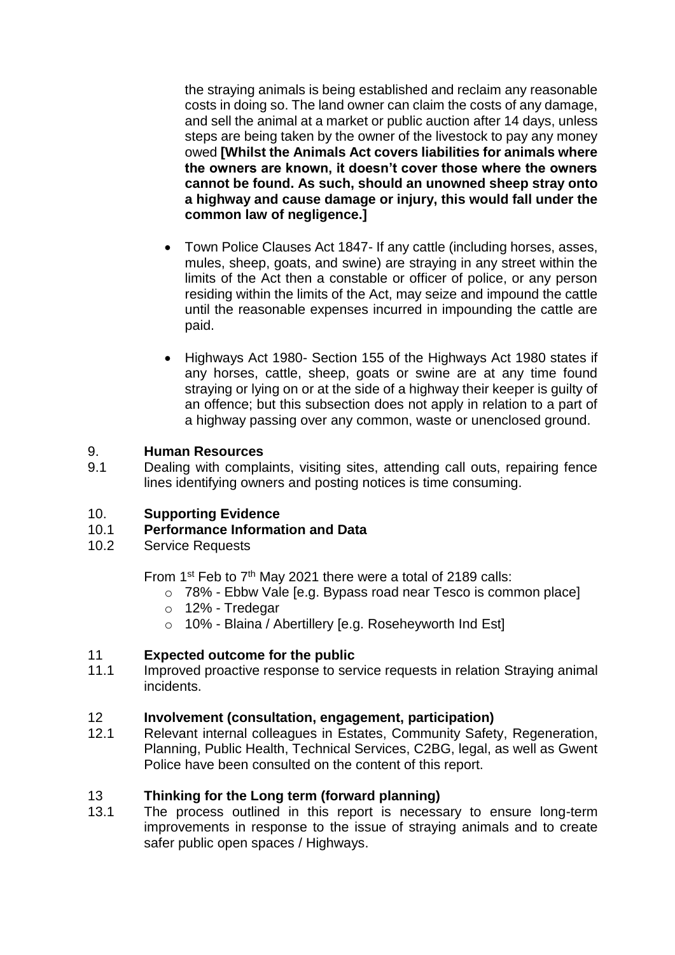the straying animals is being established and reclaim any reasonable costs in doing so. The land owner can claim the costs of any damage, and sell the animal at a market or public auction after 14 days, unless steps are being taken by the owner of the livestock to pay any money owed **[Whilst the Animals Act covers liabilities for animals where the owners are known, it doesn't cover those where the owners cannot be found. As such, should an unowned sheep stray onto a highway and cause damage or injury, this would fall under the common law of negligence.]**

- Town Police Clauses Act 1847- If any cattle (including horses, asses, mules, sheep, goats, and swine) are straying in any street within the limits of the Act then a constable or officer of police, or any person residing within the limits of the Act, may seize and impound the cattle until the reasonable expenses incurred in impounding the cattle are paid.
- Highways Act 1980- Section 155 of the Highways Act 1980 states if any horses, cattle, sheep, goats or swine are at any time found straying or lying on or at the side of a highway their keeper is guilty of an offence; but this subsection does not apply in relation to a part of a highway passing over any common, waste or unenclosed ground.

# 9. **Human Resources**

9.1 Dealing with complaints, visiting sites, attending call outs, repairing fence lines identifying owners and posting notices is time consuming.

### 10. **Supporting Evidence**

# 10.1 **Performance Information and Data**

10.2 Service Requests

From 1<sup>st</sup> Feb to 7<sup>th</sup> May 2021 there were a total of 2189 calls:

- o 78% Ebbw Vale [e.g. Bypass road near Tesco is common place]
- o 12% Tredegar
- o 10% Blaina / Abertillery [e.g. Roseheyworth Ind Est]

### 11 **Expected outcome for the public**

11.1 Improved proactive response to service requests in relation Straying animal incidents.

#### 12 **Involvement (consultation, engagement, participation)**

12.1 Relevant internal colleagues in Estates, Community Safety, Regeneration, Planning, Public Health, Technical Services, C2BG, legal, as well as Gwent Police have been consulted on the content of this report.

### 13 **Thinking for the Long term (forward planning)**

13.1 The process outlined in this report is necessary to ensure long-term improvements in response to the issue of straying animals and to create safer public open spaces / Highways.